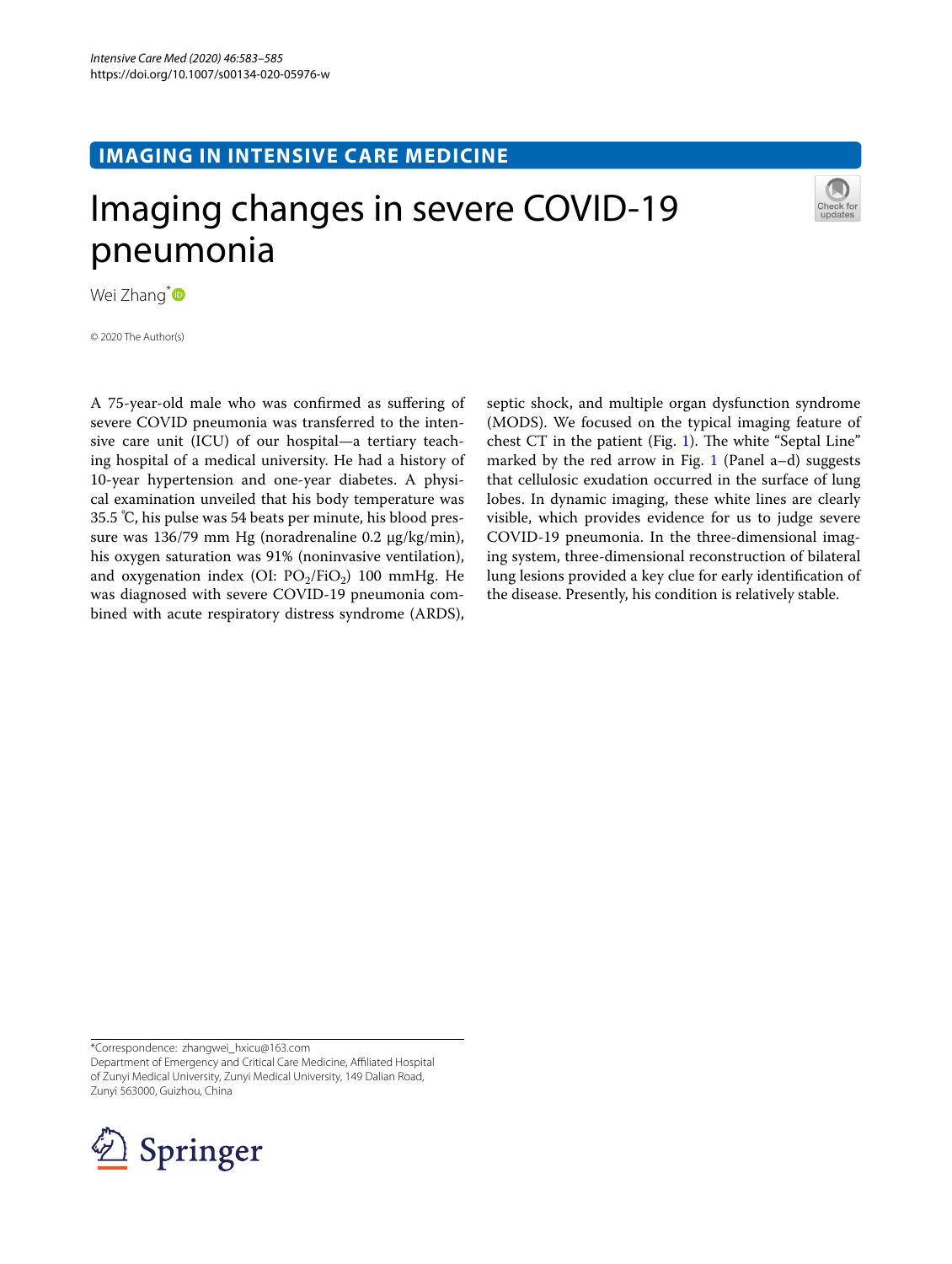## **IMAGING IN INTENSIVE CARE MEDICINE**

# Imaging changes in severe COVID-19 pneumonia



Wei Zhang<sup>[\\*](http://orcid.org/0000-0002-8706-6082)</sup>

© 2020 The Author(s)

A 75-year-old male who was confrmed as sufering of severe COVID pneumonia was transferred to the intensive care unit (ICU) of our hospital—a tertiary teaching hospital of a medical university. He had a history of 10-year hypertension and one-year diabetes. A physical examination unveiled that his body temperature was 35.5 ℃, his pulse was 54 beats per minute, his blood pressure was 136/79 mm Hg (noradrenaline 0.2 µg/kg/min), his oxygen saturation was 91% (noninvasive ventilation), and oxygenation index (OI:  $PO<sub>2</sub>/FiO<sub>2</sub>$ ) 100 mmHg. He was diagnosed with severe COVID-19 pneumonia combined with acute respiratory distress syndrome (ARDS),

septic shock, and multiple organ dysfunction syndrome (MODS). We focused on the typical imaging feature of chest CT in the patient (Fig. [1\)](#page-1-0). The white "Septal Line" marked by the red arrow in Fig. [1](#page-1-0) (Panel  $a-d$ ) suggests that cellulosic exudation occurred in the surface of lung lobes. In dynamic imaging, these white lines are clearly visible, which provides evidence for us to judge severe COVID-19 pneumonia. In the three-dimensional imaging system, three-dimensional reconstruction of bilateral lung lesions provided a key clue for early identifcation of the disease. Presently, his condition is relatively stable.

\*Correspondence: zhangwei\_hxicu@163.com Department of Emergency and Critical Care Medicine, Afliated Hospital of Zunyi Medical University, Zunyi Medical University, 149 Dalian Road, Zunyi 563000, Guizhou, China

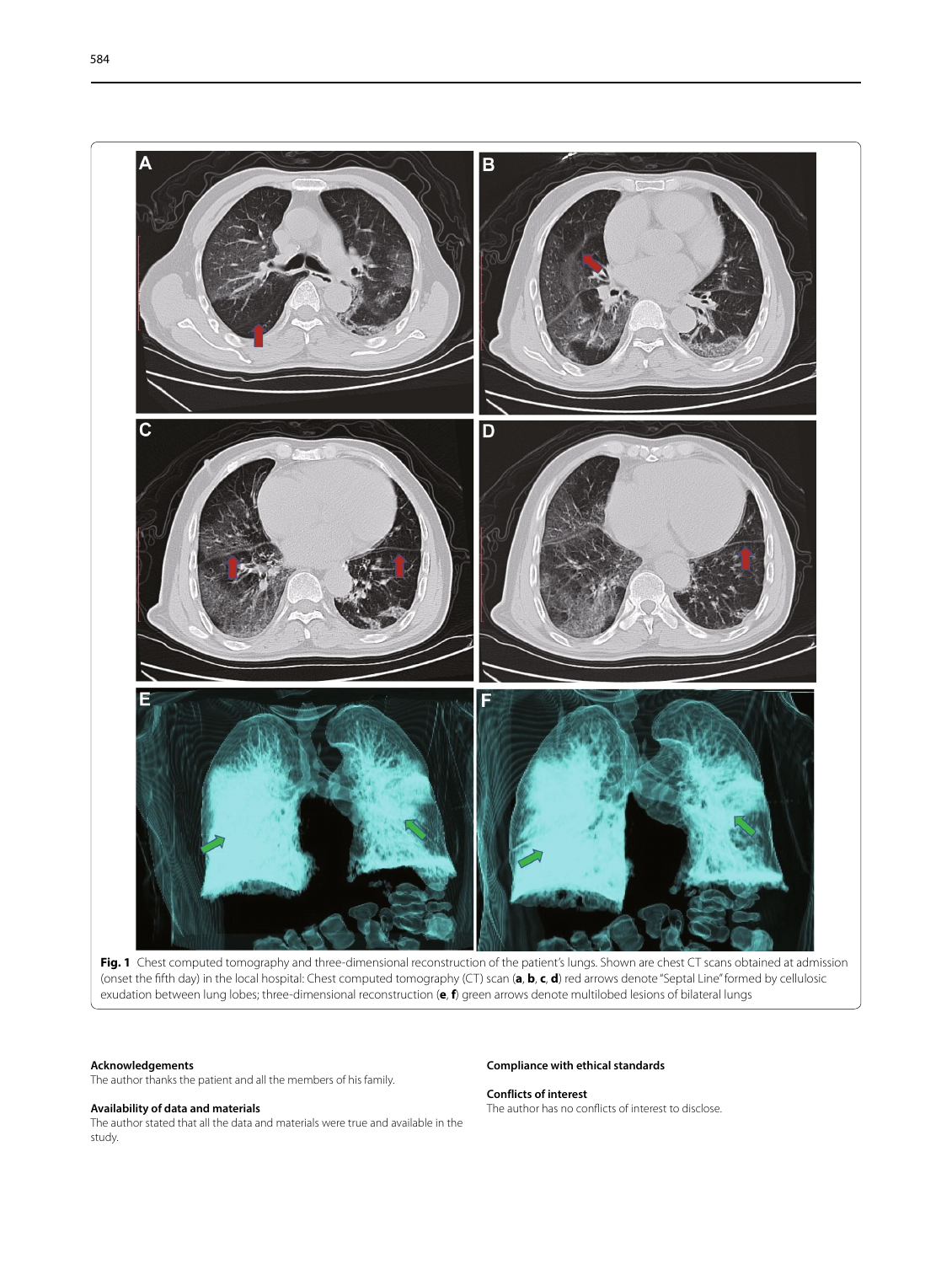

Fig. 1 Chest computed tomography and three-dimensional reconstruction of the patient's lungs. Shown are chest CT scans obtained at admission (onset the ffth day) in the local hospital: Chest computed tomography (CT) scan (**a**, **b**, **c**, **d**) red arrows denote "Septal Line" formed by cellulosic exudation between lung lobes; three-dimensional reconstruction (**e**, **f**) green arrows denote multilobed lesions of bilateral lungs

#### <span id="page-1-0"></span>**Acknowledgements**

The author thanks the patient and all the members of his family.

#### **Availability of data and materials**

The author stated that all the data and materials were true and available in the study.

#### **Compliance with ethical standards**

**Conflicts of interest**

The author has no conficts of interest to disclose.